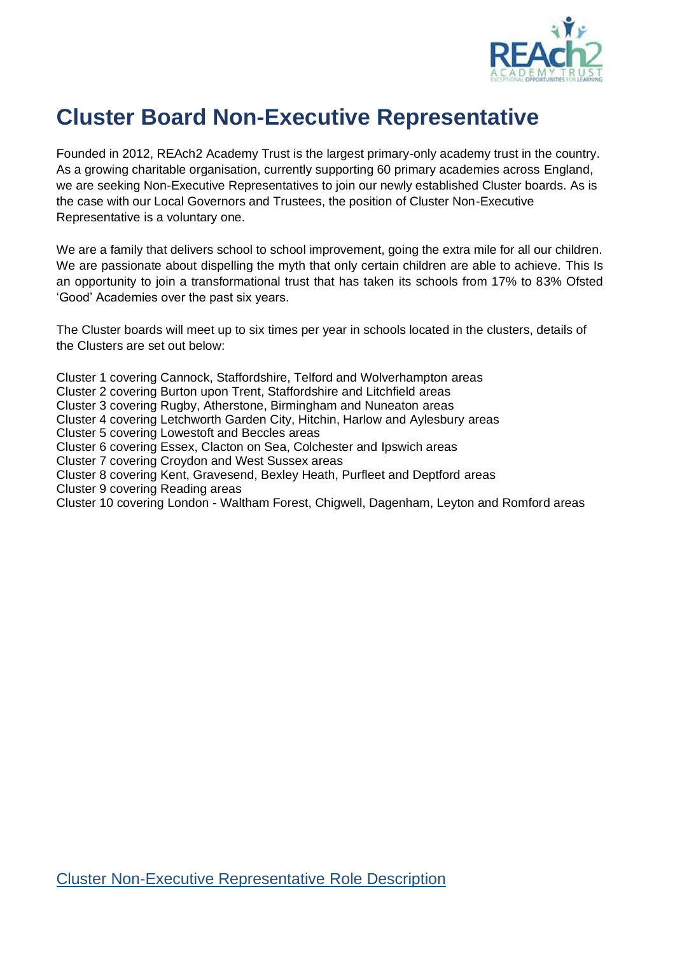

# **Cluster Board Non-Executive Representative**

Founded in 2012, REAch2 Academy Trust is the largest primary-only academy trust in the country. As a growing charitable organisation, currently supporting 60 primary academies across England, we are seeking Non-Executive Representatives to join our newly established Cluster boards. As is the case with our Local Governors and Trustees, the position of Cluster Non-Executive Representative is a voluntary one.

We are a family that delivers school to school improvement, going the extra mile for all our children. We are passionate about dispelling the myth that only certain children are able to achieve. This Is an opportunity to join a transformational trust that has taken its schools from 17% to 83% Ofsted 'Good' Academies over the past six years.

The Cluster boards will meet up to six times per year in schools located in the clusters, details of the Clusters are set out below:

Cluster 1 covering Cannock, Staffordshire, Telford and Wolverhampton areas

- Cluster 2 covering Burton upon Trent, Staffordshire and Litchfield areas
- Cluster 3 covering Rugby, Atherstone, Birmingham and Nuneaton areas
- Cluster 4 covering Letchworth Garden City, Hitchin, Harlow and Aylesbury areas

Cluster 5 covering Lowestoft and Beccles areas

Cluster 6 covering Essex, Clacton on Sea, Colchester and Ipswich areas

- Cluster 7 covering Croydon and West Sussex areas
- Cluster 8 covering Kent, Gravesend, Bexley Heath, Purfleet and Deptford areas
- Cluster 9 covering Reading areas

Cluster 10 covering London - Waltham Forest, Chigwell, Dagenham, Leyton and Romford areas